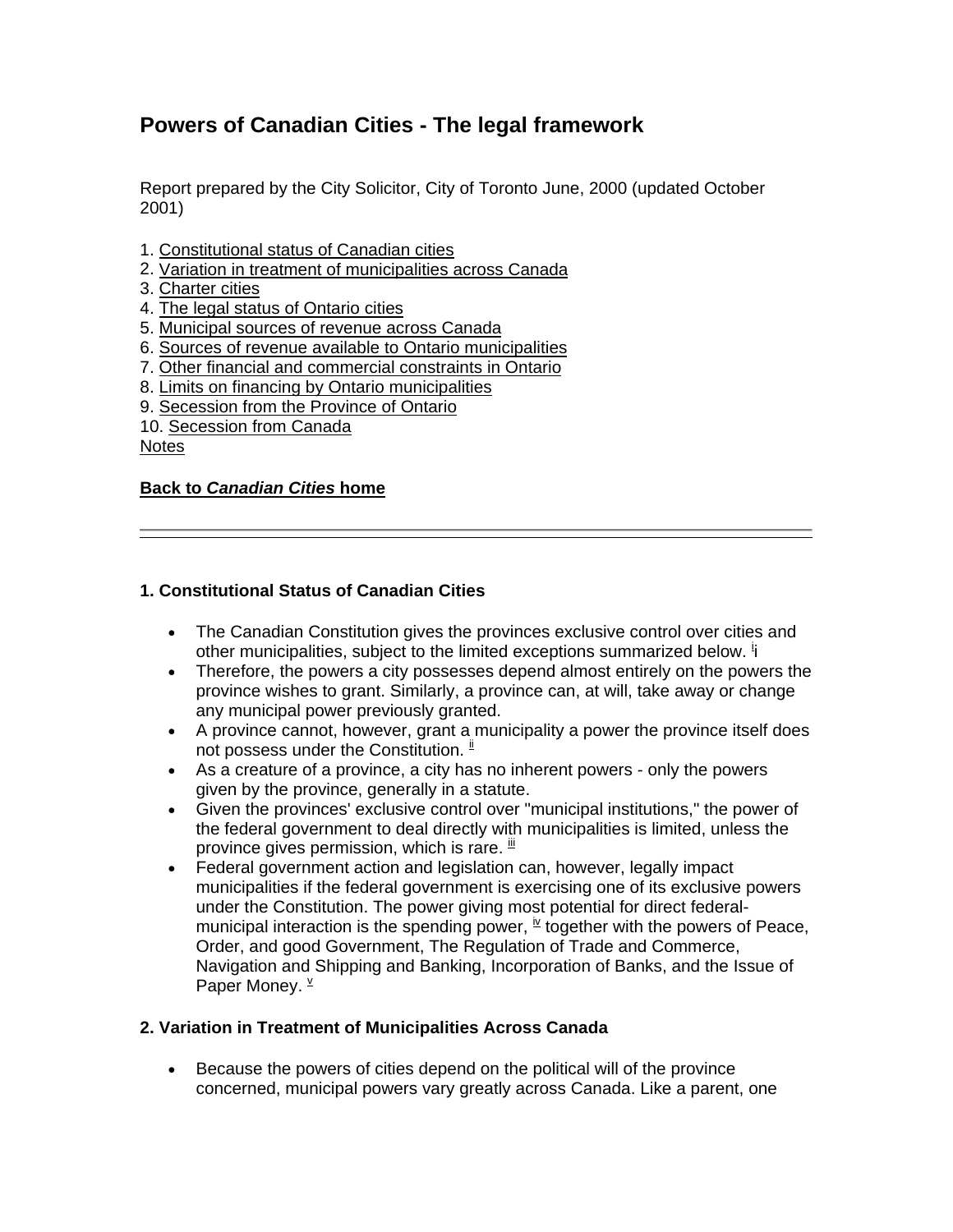# **Powers of Canadian Cities - The legal framework**

Report prepared by the City Solicitor, City of Toronto June, 2000 (updated October 2001)

- 1. Constitutional status of Canadian cities
- 2. Variation in treatment of municipalities across Canada
- 3. Charter cities
- 4. The legal status of Ontario cities
- 5. Municipal sources of revenue across Canada
- 6. Sources of revenue available to Ontario municipalities
- 7. Other financial and commercial constraints in Ontario
- 8. Limits on financing by Ontario municipalities
- 9. Secession from the Province of Ontario
- 10. Secession from Canada

**Notes** 

#### **Back to** *[Canadian Cities](http://www.canadascities.ca/index.htm)* **home**

### **1. Constitutional Status of Canadian Cities**

- The Canadian Constitution gives the provinces exclusive control over cities and other municipalities, subject to the limited exceptions summarized below. if
- Therefore, the powers a city possesses depend almost entirely on the powers the province wishes to grant. Similarly, a province can, at will, take away or change any municipal power previously granted.
- A province cannot, however, grant a municipality a power the province itself does not possess under the Constitution.  $\frac{ii}{b}$
- As a creature of a province, a city has no inherent powers only the powers given by the province, generally in a statute.
- Given the provinces' exclusive control over "municipal institutions," the power of the federal government to deal directly with municipalities is limited, unless the province gives permission, which is rare.  $^{\text{iii}}$
- Federal government action and legislation can, however, legally impact municipalities if the federal government is exercising one of its exclusive powers under the Constitution. The power giving most potential for direct federalmunicipal interaction is the spending power,  $\frac{N}{2}$  together with the powers of Peace, Order, and good Government, The Regulation of Trade and Commerce, Navigation and Shipping and Banking, Incorporation of Banks, and the Issue of Paper Money.  $\frac{v}{x}$

### **2. Variation in Treatment of Municipalities Across Canada**

• Because the powers of cities depend on the political will of the province concerned, municipal powers vary greatly across Canada. Like a parent, one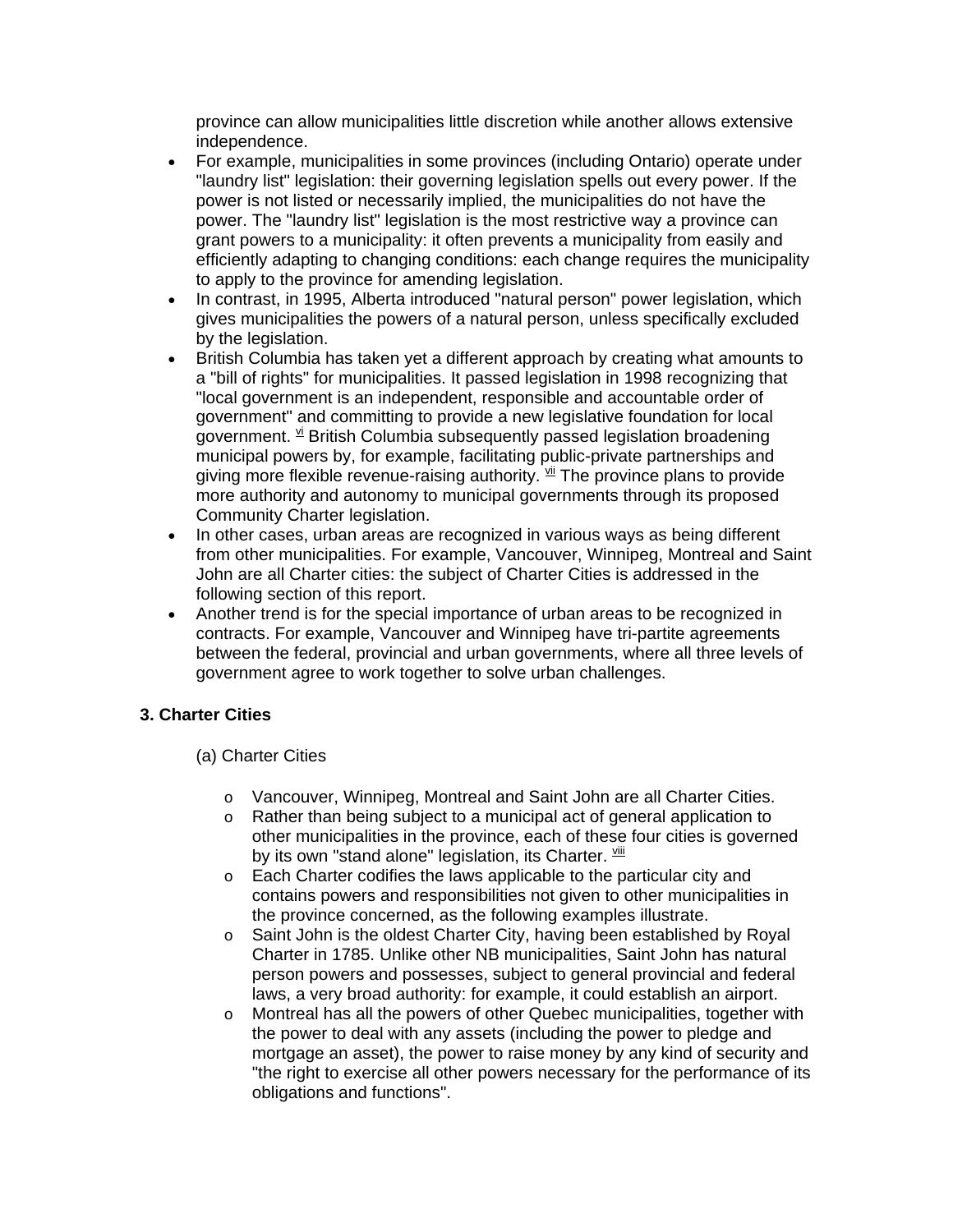province can allow municipalities little discretion while another allows extensive independence.

- For example, municipalities in some provinces (including Ontario) operate under "laundry list" legislation: their governing legislation spells out every power. If the power is not listed or necessarily implied, the municipalities do not have the power. The "laundry list" legislation is the most restrictive way a province can grant powers to a municipality: it often prevents a municipality from easily and efficiently adapting to changing conditions: each change requires the municipality to apply to the province for amending legislation.
- In contrast, in 1995, Alberta introduced "natural person" power legislation, which gives municipalities the powers of a natural person, unless specifically excluded by the legislation.
- British Columbia has taken yet a different approach by creating what amounts to a "bill of rights" for municipalities. It passed legislation in 1998 recognizing that "local government is an independent, responsible and accountable order of government" and committing to provide a new legislative foundation for local government. <sup>vi</sup> British Columbia subsequently passed legislation broadening municipal powers by, for example, facilitating public-private partnerships and giving more flexible revenue-raising authority.  $\frac{v_{ii}}{v}$  The province plans to provide more authority and autonomy to municipal governments through its proposed Community Charter legislation.
- In other cases, urban areas are recognized in various ways as being different from other municipalities. For example, Vancouver, Winnipeg, Montreal and Saint John are all Charter cities: the subject of Charter Cities is addressed in the following section of this report.
- Another trend is for the special importance of urban areas to be recognized in contracts. For example, Vancouver and Winnipeg have tri-partite agreements between the federal, provincial and urban governments, where all three levels of government agree to work together to solve urban challenges.

# **3. Charter Cities**

### (a) Charter Cities

- o Vancouver, Winnipeg, Montreal and Saint John are all Charter Cities.
- o Rather than being subject to a municipal act of general application to other municipalities in the province, each of these four cities is governed by its own "stand alone" legislation, its Charter. Vill
- o Each Charter codifies the laws applicable to the particular city and contains powers and responsibilities not given to other municipalities in the province concerned, as the following examples illustrate.
- o Saint John is the oldest Charter City, having been established by Royal Charter in 1785. Unlike other NB municipalities, Saint John has natural person powers and possesses, subject to general provincial and federal laws, a very broad authority: for example, it could establish an airport.
- o Montreal has all the powers of other Quebec municipalities, together with the power to deal with any assets (including the power to pledge and mortgage an asset), the power to raise money by any kind of security and "the right to exercise all other powers necessary for the performance of its obligations and functions".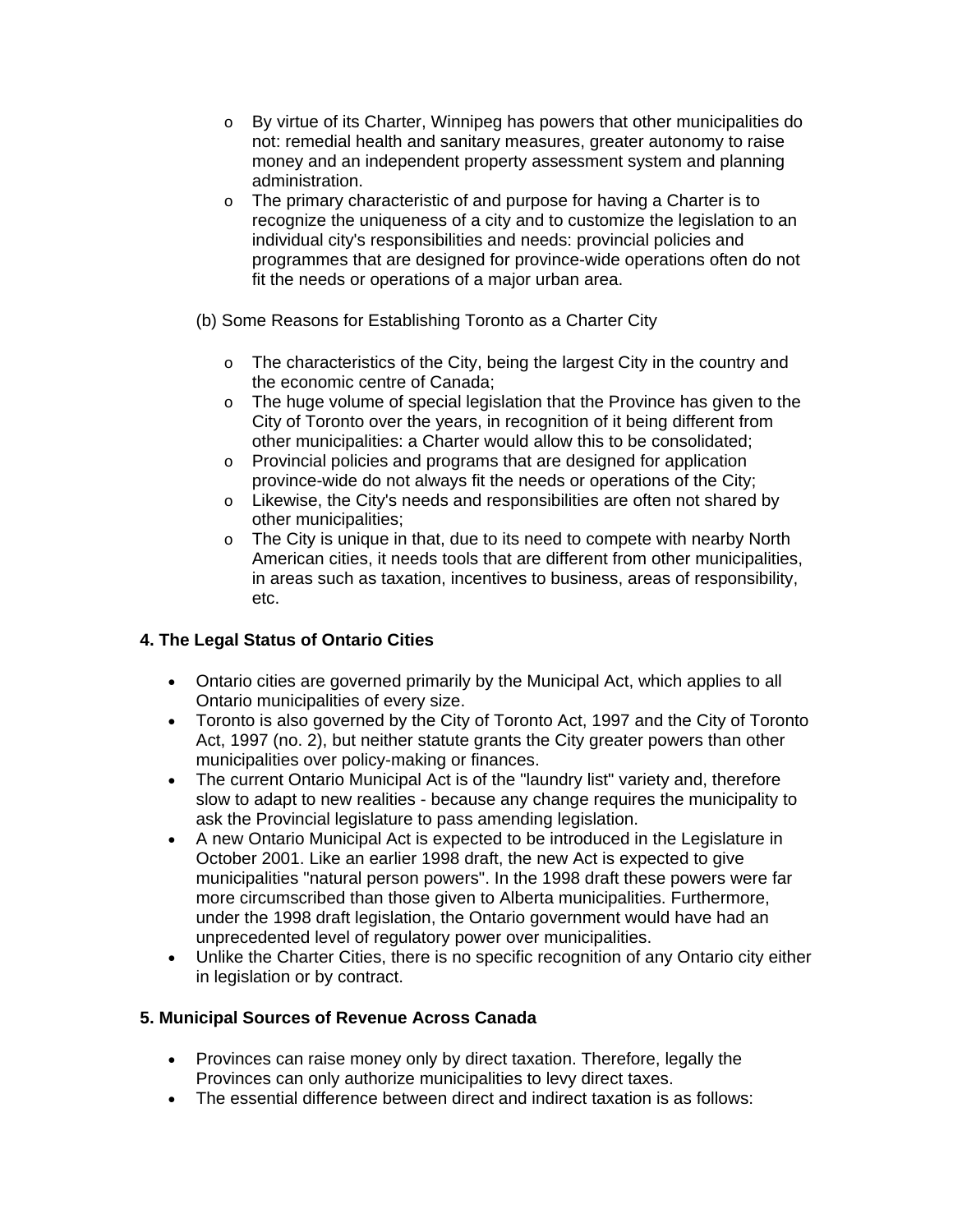- o By virtue of its Charter, Winnipeg has powers that other municipalities do not: remedial health and sanitary measures, greater autonomy to raise money and an independent property assessment system and planning administration.
- o The primary characteristic of and purpose for having a Charter is to recognize the uniqueness of a city and to customize the legislation to an individual city's responsibilities and needs: provincial policies and programmes that are designed for province-wide operations often do not fit the needs or operations of a major urban area.
- (b) Some Reasons for Establishing Toronto as a Charter City
	- o The characteristics of the City, being the largest City in the country and the economic centre of Canada;
	- o The huge volume of special legislation that the Province has given to the City of Toronto over the years, in recognition of it being different from other municipalities: a Charter would allow this to be consolidated;
	- o Provincial policies and programs that are designed for application province-wide do not always fit the needs or operations of the City;
	- $\circ$  Likewise, the City's needs and responsibilities are often not shared by other municipalities;
	- o The City is unique in that, due to its need to compete with nearby North American cities, it needs tools that are different from other municipalities, in areas such as taxation, incentives to business, areas of responsibility, etc.

# **4. The Legal Status of Ontario Cities**

- Ontario cities are governed primarily by the Municipal Act, which applies to all Ontario municipalities of every size.
- Toronto is also governed by the City of Toronto Act, 1997 and the City of Toronto Act, 1997 (no. 2), but neither statute grants the City greater powers than other municipalities over policy-making or finances.
- The current Ontario Municipal Act is of the "laundry list" variety and, therefore slow to adapt to new realities - because any change requires the municipality to ask the Provincial legislature to pass amending legislation.
- A new Ontario Municipal Act is expected to be introduced in the Legislature in October 2001. Like an earlier 1998 draft, the new Act is expected to give municipalities "natural person powers". In the 1998 draft these powers were far more circumscribed than those given to Alberta municipalities. Furthermore, under the 1998 draft legislation, the Ontario government would have had an unprecedented level of regulatory power over municipalities.
- Unlike the Charter Cities, there is no specific recognition of any Ontario city either in legislation or by contract.

# **5. Municipal Sources of Revenue Across Canada**

- Provinces can raise money only by direct taxation. Therefore, legally the Provinces can only authorize municipalities to levy direct taxes.
- The essential difference between direct and indirect taxation is as follows: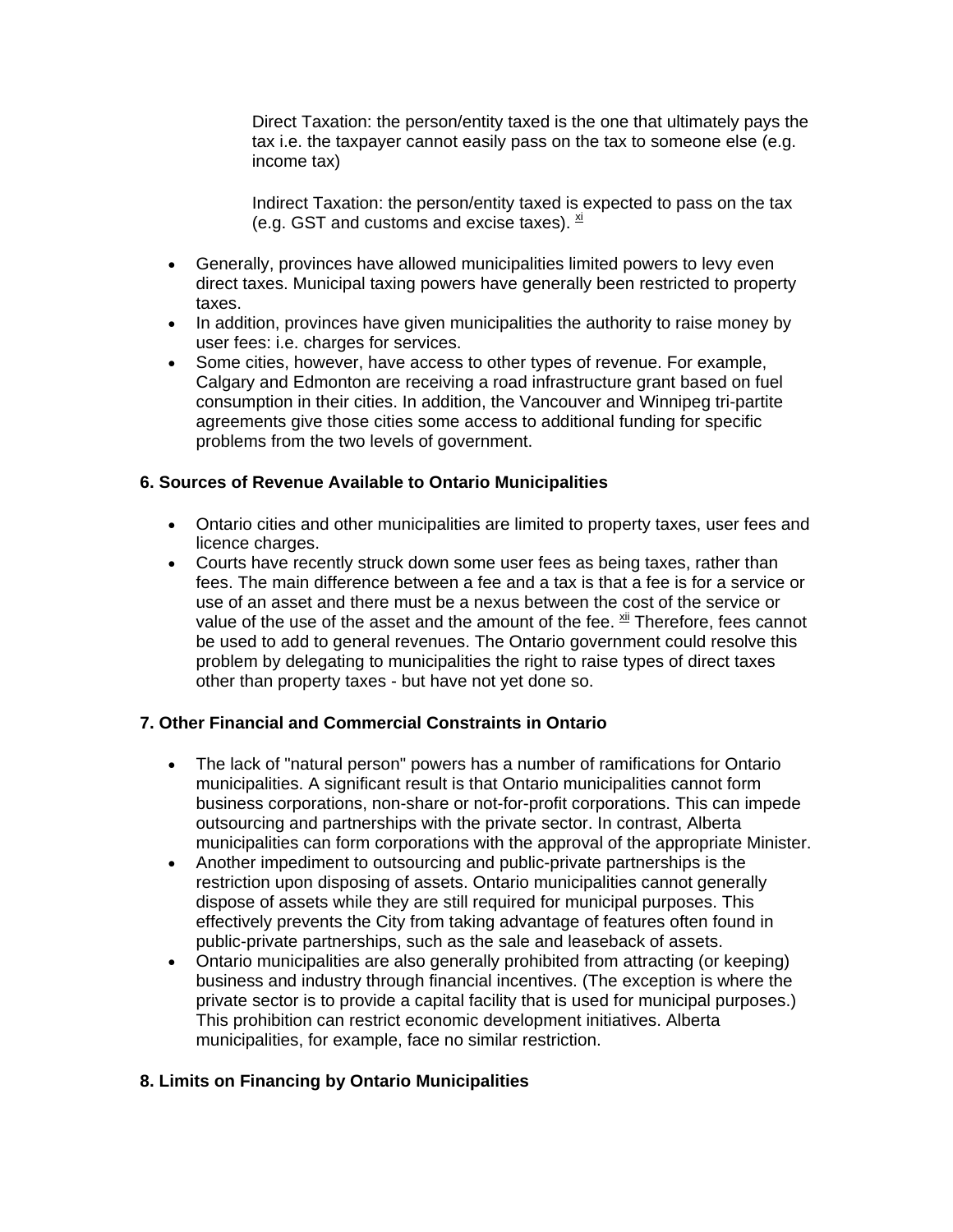Direct Taxation: the person/entity taxed is the one that ultimately pays the tax i.e. the taxpayer cannot easily pass on the tax to someone else (e.g. income tax)

Indirect Taxation: the person/entity taxed is expected to pass on the tax (e.g. GST and customs and excise taxes).  $\frac{xi}{1}$ 

- Generally, provinces have allowed municipalities limited powers to levy even direct taxes. Municipal taxing powers have generally been restricted to property taxes.
- In addition, provinces have given municipalities the authority to raise money by user fees: i.e. charges for services.
- Some cities, however, have access to other types of revenue. For example, Calgary and Edmonton are receiving a road infrastructure grant based on fuel consumption in their cities. In addition, the Vancouver and Winnipeg tri-partite agreements give those cities some access to additional funding for specific problems from the two levels of government.

### **6. Sources of Revenue Available to Ontario Municipalities**

- Ontario cities and other municipalities are limited to property taxes, user fees and licence charges.
- Courts have recently struck down some user fees as being taxes, rather than fees. The main difference between a fee and a tax is that a fee is for a service or use of an asset and there must be a nexus between the cost of the service or value of the use of the asset and the amount of the fee.  $\frac{xi}{t}$  Therefore, fees cannot be used to add to general revenues. The Ontario government could resolve this problem by delegating to municipalities the right to raise types of direct taxes other than property taxes - but have not yet done so.

### **7. Other Financial and Commercial Constraints in Ontario**

- The lack of "natural person" powers has a number of ramifications for Ontario municipalities. A significant result is that Ontario municipalities cannot form business corporations, non-share or not-for-profit corporations. This can impede outsourcing and partnerships with the private sector. In contrast, Alberta municipalities can form corporations with the approval of the appropriate Minister.
- Another impediment to outsourcing and public-private partnerships is the restriction upon disposing of assets. Ontario municipalities cannot generally dispose of assets while they are still required for municipal purposes. This effectively prevents the City from taking advantage of features often found in public-private partnerships, such as the sale and leaseback of assets.
- Ontario municipalities are also generally prohibited from attracting (or keeping) business and industry through financial incentives. (The exception is where the private sector is to provide a capital facility that is used for municipal purposes.) This prohibition can restrict economic development initiatives. Alberta municipalities, for example, face no similar restriction.

# **8. Limits on Financing by Ontario Municipalities**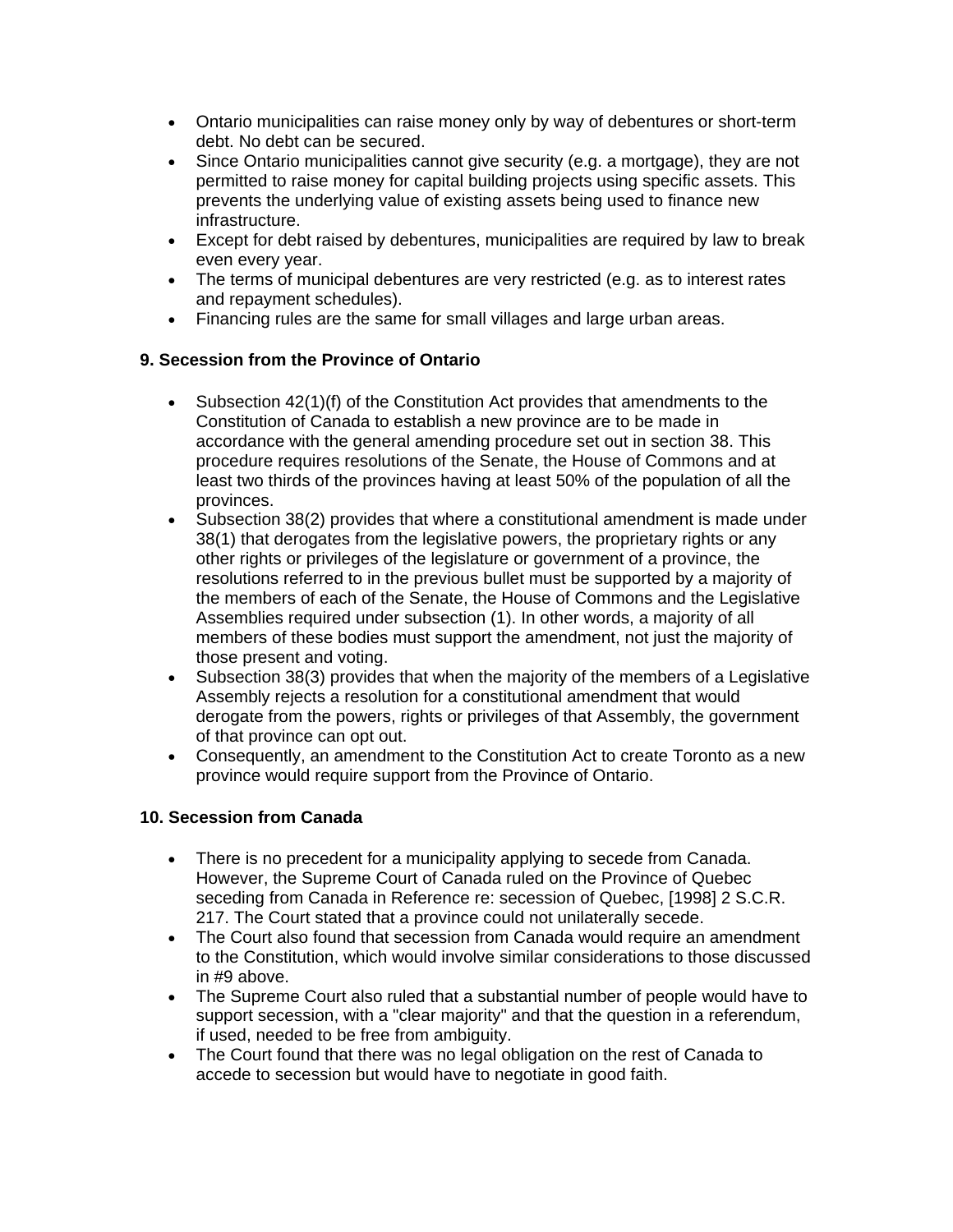- Ontario municipalities can raise money only by way of debentures or short-term debt. No debt can be secured.
- Since Ontario municipalities cannot give security (e.g. a mortgage), they are not permitted to raise money for capital building projects using specific assets. This prevents the underlying value of existing assets being used to finance new infrastructure.
- Except for debt raised by debentures, municipalities are required by law to break even every year.
- The terms of municipal debentures are very restricted (e.g. as to interest rates and repayment schedules).
- Financing rules are the same for small villages and large urban areas.

### **9. Secession from the Province of Ontario**

- Subsection 42(1)(f) of the Constitution Act provides that amendments to the Constitution of Canada to establish a new province are to be made in accordance with the general amending procedure set out in section 38. This procedure requires resolutions of the Senate, the House of Commons and at least two thirds of the provinces having at least 50% of the population of all the provinces.
- Subsection 38(2) provides that where a constitutional amendment is made under 38(1) that derogates from the legislative powers, the proprietary rights or any other rights or privileges of the legislature or government of a province, the resolutions referred to in the previous bullet must be supported by a majority of the members of each of the Senate, the House of Commons and the Legislative Assemblies required under subsection (1). In other words, a majority of all members of these bodies must support the amendment, not just the majority of those present and voting.
- Subsection 38(3) provides that when the majority of the members of a Legislative Assembly rejects a resolution for a constitutional amendment that would derogate from the powers, rights or privileges of that Assembly, the government of that province can opt out.
- Consequently, an amendment to the Constitution Act to create Toronto as a new province would require support from the Province of Ontario.

### **10. Secession from Canada**

- There is no precedent for a municipality applying to secede from Canada. However, the Supreme Court of Canada ruled on the Province of Quebec seceding from Canada in Reference re: secession of Quebec, [1998] 2 S.C.R. 217. The Court stated that a province could not unilaterally secede.
- The Court also found that secession from Canada would require an amendment to the Constitution, which would involve similar considerations to those discussed in #9 above.
- The Supreme Court also ruled that a substantial number of people would have to support secession, with a "clear majority" and that the question in a referendum, if used, needed to be free from ambiguity.
- The Court found that there was no legal obligation on the rest of Canada to accede to secession but would have to negotiate in good faith.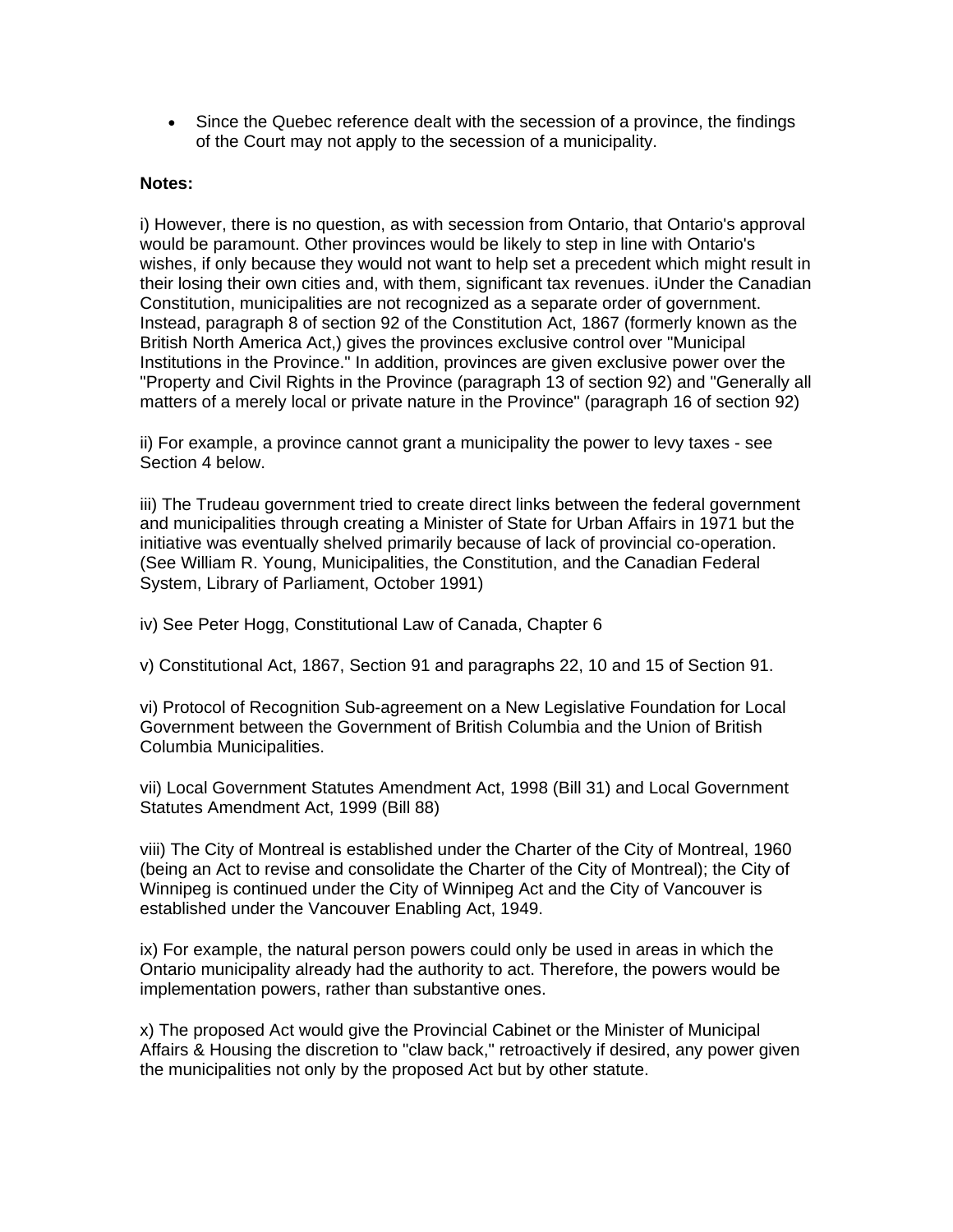• Since the Quebec reference dealt with the secession of a province, the findings of the Court may not apply to the secession of a municipality.

#### **Notes:**

i) However, there is no question, as with secession from Ontario, that Ontario's approval would be paramount. Other provinces would be likely to step in line with Ontario's wishes, if only because they would not want to help set a precedent which might result in their losing their own cities and, with them, significant tax revenues. iUnder the Canadian Constitution, municipalities are not recognized as a separate order of government. Instead, paragraph 8 of section 92 of the Constitution Act, 1867 (formerly known as the British North America Act,) gives the provinces exclusive control over "Municipal Institutions in the Province." In addition, provinces are given exclusive power over the "Property and Civil Rights in the Province (paragraph 13 of section 92) and "Generally all matters of a merely local or private nature in the Province" (paragraph 16 of section 92)

ii) For example, a province cannot grant a municipality the power to levy taxes - see Section 4 below.

iii) The Trudeau government tried to create direct links between the federal government and municipalities through creating a Minister of State for Urban Affairs in 1971 but the initiative was eventually shelved primarily because of lack of provincial co-operation. (See William R. Young, Municipalities, the Constitution, and the Canadian Federal System, Library of Parliament, October 1991)

iv) See Peter Hogg, Constitutional Law of Canada, Chapter 6

v) Constitutional Act, 1867, Section 91 and paragraphs 22, 10 and 15 of Section 91.

vi) Protocol of Recognition Sub-agreement on a New Legislative Foundation for Local Government between the Government of British Columbia and the Union of British Columbia Municipalities.

vii) Local Government Statutes Amendment Act, 1998 (Bill 31) and Local Government Statutes Amendment Act, 1999 (Bill 88)

viii) The City of Montreal is established under the Charter of the City of Montreal, 1960 (being an Act to revise and consolidate the Charter of the City of Montreal); the City of Winnipeg is continued under the City of Winnipeg Act and the City of Vancouver is established under the Vancouver Enabling Act, 1949.

ix) For example, the natural person powers could only be used in areas in which the Ontario municipality already had the authority to act. Therefore, the powers would be implementation powers, rather than substantive ones.

x) The proposed Act would give the Provincial Cabinet or the Minister of Municipal Affairs & Housing the discretion to "claw back," retroactively if desired, any power given the municipalities not only by the proposed Act but by other statute.